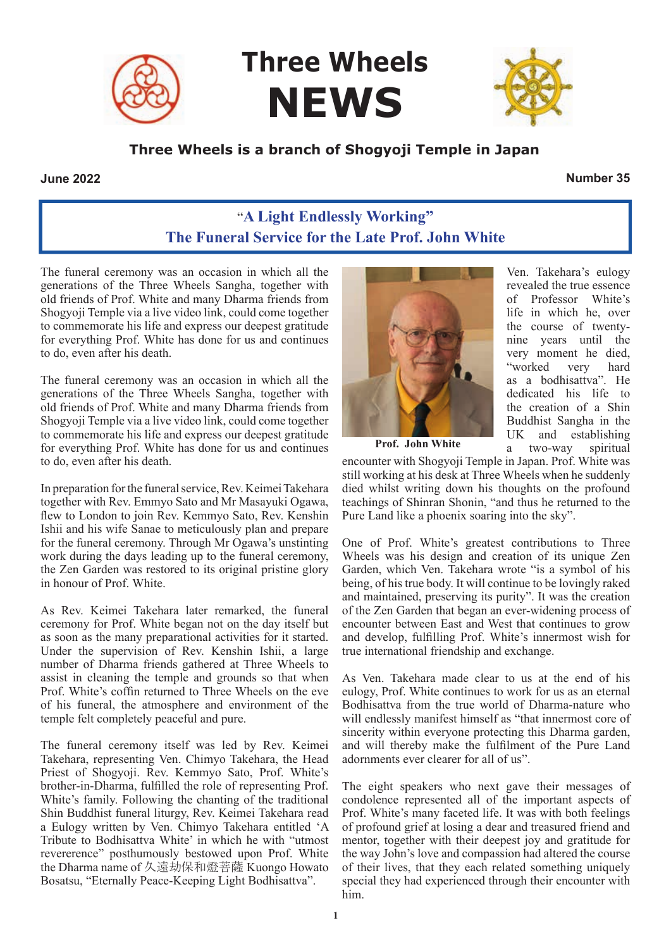

**Three Wheels NEWS**



#### **Three Wheels is a branch of Shogyoji Temple in Japan**

#### **June 2022 Number 35**

# "**A Light Endlessly Working" The Funeral Service for the Late Prof. John White**

The funeral ceremony was an occasion in which all the generations of the Three Wheels Sangha, together with old friends of Prof. White and many Dharma friends from Shogyoji Temple via a live video link, could come together to commemorate his life and express our deepest gratitude for everything Prof. White has done for us and continues to do, even after his death.

The funeral ceremony was an occasion in which all the generations of the Three Wheels Sangha, together with old friends of Prof. White and many Dharma friends from Shogyoji Temple via a live video link, could come together to commemorate his life and express our deepest gratitude for everything Prof. White has done for us and continues to do, even after his death.

In preparation for the funeral service, Rev. Keimei Takehara together with Rev. Emmyo Sato and Mr Masayuki Ogawa, flew to London to join Rev. Kemmyo Sato, Rev. Kenshin Ishii and his wife Sanae to meticulously plan and prepare for the funeral ceremony. Through Mr Ogawa's unstinting work during the days leading up to the funeral ceremony, the Zen Garden was restored to its original pristine glory in honour of Prof. White.

As Rev. Keimei Takehara later remarked, the funeral ceremony for Prof. White began not on the day itself but as soon as the many preparational activities for it started. Under the supervision of Rev. Kenshin Ishii, a large number of Dharma friends gathered at Three Wheels to assist in cleaning the temple and grounds so that when Prof. White's coffin returned to Three Wheels on the eve of his funeral, the atmosphere and environment of the temple felt completely peaceful and pure.

The funeral ceremony itself was led by Rev. Keimei Takehara, representing Ven. Chimyo Takehara, the Head Priest of Shogyoji. Rev. Kemmyo Sato, Prof. White's brother-in-Dharma, fulfilled the role of representing Prof. White's family. Following the chanting of the traditional Shin Buddhist funeral liturgy, Rev. Keimei Takehara read a Eulogy written by Ven. Chimyo Takehara entitled 'A Tribute to Bodhisattva White' in which he with "utmost revererence" posthumously bestowed upon Prof. White the Dharma name of 久遠劫保和燈菩薩 Kuongo Howato Bosatsu, "Eternally Peace-Keeping Light Bodhisattva".



Ven. Takehara's eulogy revealed the true essence of Professor White's life in which he, over the course of twentynine years until the very moment he died, "worked very hard as a bodhisattva". He dedicated his life to the creation of a Shin Buddhist Sangha in the UK and establishing a two-way spiritual

**Prof. John White**

encounter with Shogyoji Temple in Japan. Prof. White was still working at his desk at Three Wheels when he suddenly died whilst writing down his thoughts on the profound teachings of Shinran Shonin, "and thus he returned to the Pure Land like a phoenix soaring into the sky".

One of Prof. White's greatest contributions to Three Wheels was his design and creation of its unique Zen Garden, which Ven. Takehara wrote "is a symbol of his being, of his true body. It will continue to be lovingly raked and maintained, preserving its purity". It was the creation of the Zen Garden that began an ever-widening process of encounter between East and West that continues to grow and develop, fulfilling Prof. White's innermost wish for true international friendship and exchange.

As Ven. Takehara made clear to us at the end of his eulogy, Prof. White continues to work for us as an eternal Bodhisattva from the true world of Dharma-nature who will endlessly manifest himself as "that innermost core of sincerity within everyone protecting this Dharma garden, and will thereby make the fulfilment of the Pure Land adornments ever clearer for all of us".

The eight speakers who next gave their messages of condolence represented all of the important aspects of Prof. White's many faceted life. It was with both feelings of profound grief at losing a dear and treasured friend and mentor, together with their deepest joy and gratitude for the way John's love and compassion had altered the course of their lives, that they each related something uniquely special they had experienced through their encounter with him.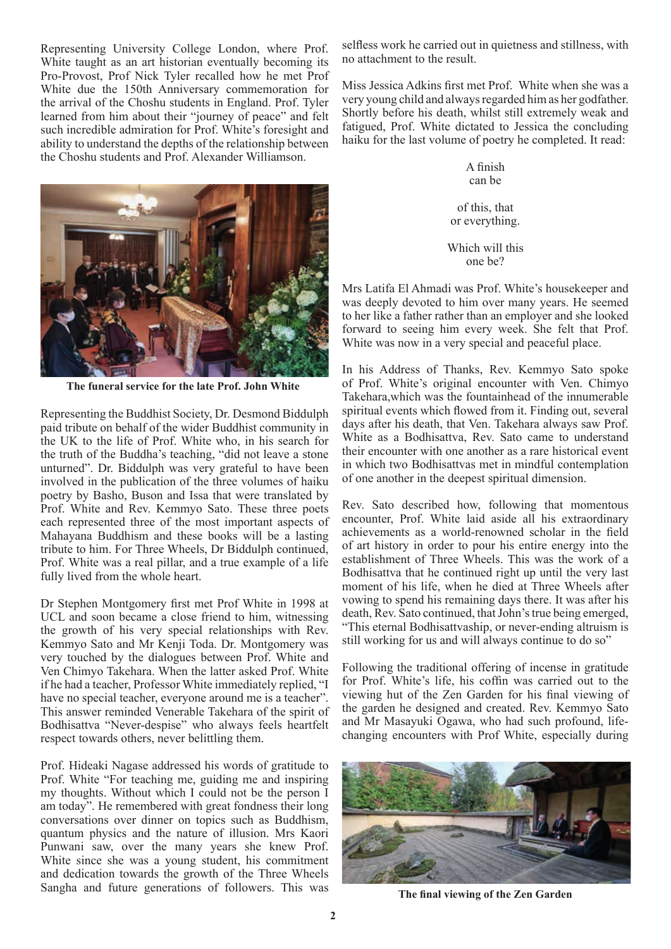Representing University College London, where Prof. White taught as an art historian eventually becoming its Pro-Provost, Prof Nick Tyler recalled how he met Prof White due the 150th Anniversary commemoration for the arrival of the Choshu students in England. Prof. Tyler learned from him about their "journey of peace" and felt such incredible admiration for Prof. White's foresight and ability to understand the depths of the relationship between the Choshu students and Prof. Alexander Williamson.



**The funeral service for the late Prof. John White**

Representing the Buddhist Society, Dr. Desmond Biddulph paid tribute on behalf of the wider Buddhist community in the UK to the life of Prof. White who, in his search for the truth of the Buddha's teaching, "did not leave a stone unturned". Dr. Biddulph was very grateful to have been involved in the publication of the three volumes of haiku poetry by Basho, Buson and Issa that were translated by Prof. White and Rev. Kemmyo Sato. These three poets each represented three of the most important aspects of Mahayana Buddhism and these books will be a lasting tribute to him. For Three Wheels, Dr Biddulph continued, Prof. White was a real pillar, and a true example of a life fully lived from the whole heart.

Dr Stephen Montgomery first met Prof White in 1998 at UCL and soon became a close friend to him, witnessing the growth of his very special relationships with Rev. Kemmyo Sato and Mr Kenji Toda. Dr. Montgomery was very touched by the dialogues between Prof. White and Ven Chimyo Takehara. When the latter asked Prof. White if he had a teacher, Professor White immediately replied, "I have no special teacher, everyone around me is a teacher". This answer reminded Venerable Takehara of the spirit of Bodhisattva "Never-despise" who always feels heartfelt respect towards others, never belittling them.

Prof. Hideaki Nagase addressed his words of gratitude to Prof. White "For teaching me, guiding me and inspiring my thoughts. Without which I could not be the person I am today". He remembered with great fondness their long conversations over dinner on topics such as Buddhism, quantum physics and the nature of illusion. Mrs Kaori Punwani saw, over the many years she knew Prof. White since she was a young student, his commitment and dedication towards the growth of the Three Wheels Sangha and future generations of followers. This was selfless work he carried out in quietness and stillness, with no attachment to the result.

Miss Jessica Adkins first met Prof. White when she was a very young child and always regarded him as her godfather. Shortly before his death, whilst still extremely weak and fatigued, Prof. White dictated to Jessica the concluding haiku for the last volume of poetry he completed. It read:

> A finish can be

of this, that or everything.

Which will this one be?

Mrs Latifa El Ahmadi was Prof. White's housekeeper and was deeply devoted to him over many years. He seemed to her like a father rather than an employer and she looked forward to seeing him every week. She felt that Prof. White was now in a very special and peaceful place.

In his Address of Thanks, Rev. Kemmyo Sato spoke of Prof. White's original encounter with Ven. Chimyo Takehara,which was the fountainhead of the innumerable spiritual events which flowed from it. Finding out, several days after his death, that Ven. Takehara always saw Prof. White as a Bodhisattva, Rev. Sato came to understand their encounter with one another as a rare historical event in which two Bodhisattvas met in mindful contemplation of one another in the deepest spiritual dimension.

Rev. Sato described how, following that momentous encounter, Prof. White laid aside all his extraordinary achievements as a world-renowned scholar in the field of art history in order to pour his entire energy into the establishment of Three Wheels. This was the work of a Bodhisattva that he continued right up until the very last moment of his life, when he died at Three Wheels after vowing to spend his remaining days there. It was after his death, Rev. Sato continued, that John's true being emerged, "This eternal Bodhisattvaship, or never-ending altruism is still working for us and will always continue to do so"

Following the traditional offering of incense in gratitude for Prof. White's life, his coffin was carried out to the viewing hut of the Zen Garden for his final viewing of the garden he designed and created. Rev. Kemmyo Sato and Mr Masayuki Ogawa, who had such profound, lifechanging encounters with Prof White, especially during



**The final viewing of the Zen Garden**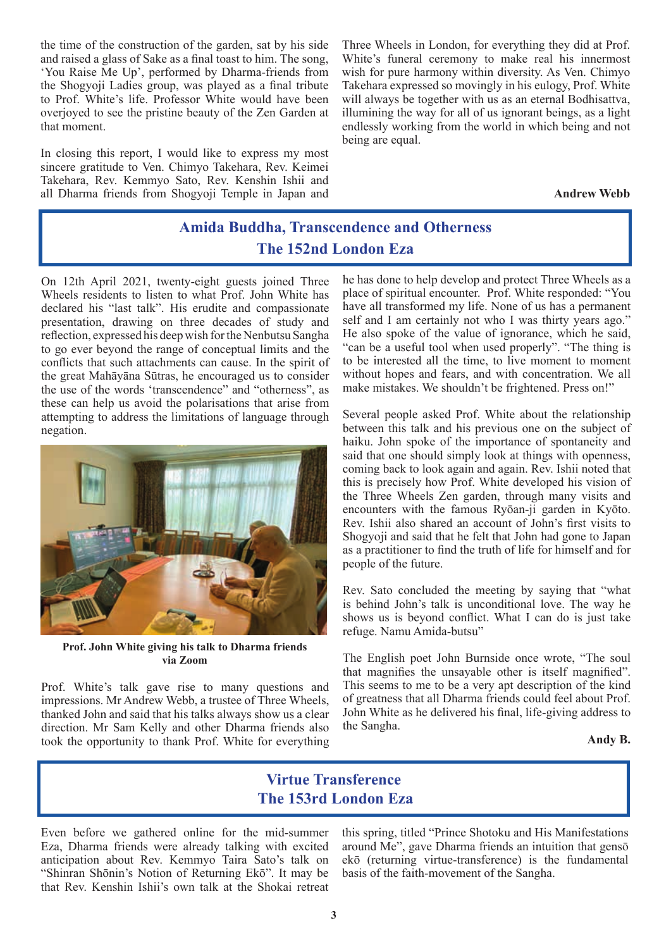the time of the construction of the garden, sat by his side and raised a glass of Sake as a final toast to him. The song, 'You Raise Me Up', performed by Dharma-friends from the Shogyoji Ladies group, was played as a final tribute to Prof. White's life. Professor White would have been overjoyed to see the pristine beauty of the Zen Garden at that moment.

In closing this report, I would like to express my most sincere gratitude to Ven. Chimyo Takehara, Rev. Keimei Takehara, Rev. Kemmyo Sato, Rev. Kenshin Ishii and all Dharma friends from Shogyoji Temple in Japan and Three Wheels in London, for everything they did at Prof. White's funeral ceremony to make real his innermost wish for pure harmony within diversity. As Ven. Chimyo Takehara expressed so movingly in his eulogy, Prof. White will always be together with us as an eternal Bodhisattva, illumining the way for all of us ignorant beings, as a light endlessly working from the world in which being and not being are equal.

**Andrew Webb**

## **Amida Buddha, Transcendence and Otherness The 152nd London Eza**

On 12th April 2021, twenty-eight guests joined Three Wheels residents to listen to what Prof. John White has declared his "last talk". His erudite and compassionate presentation, drawing on three decades of study and reflection, expressed his deep wish for the Nenbutsu Sangha to go ever beyond the range of conceptual limits and the conflicts that such attachments can cause. In the spirit of the great Mahāyāna Sūtras, he encouraged us to consider the use of the words 'transcendence" and "otherness", as these can help us avoid the polarisations that arise from attempting to address the limitations of language through negation.



**Prof. John White giving his talk to Dharma friends via Zoom**

Prof. White's talk gave rise to many questions and impressions. Mr Andrew Webb, a trustee of Three Wheels, thanked John and said that his talks always show us a clear direction. Mr Sam Kelly and other Dharma friends also took the opportunity to thank Prof. White for everything he has done to help develop and protect Three Wheels as a place of spiritual encounter. Prof. White responded: "You have all transformed my life. None of us has a permanent self and I am certainly not who I was thirty years ago." He also spoke of the value of ignorance, which he said, "can be a useful tool when used properly". "The thing is to be interested all the time, to live moment to moment without hopes and fears, and with concentration. We all make mistakes. We shouldn't be frightened. Press on!"

Several people asked Prof. White about the relationship between this talk and his previous one on the subject of haiku. John spoke of the importance of spontaneity and said that one should simply look at things with openness, coming back to look again and again. Rev. Ishii noted that this is precisely how Prof. White developed his vision of the Three Wheels Zen garden, through many visits and encounters with the famous Ryōan-ji garden in Kyōto. Rev. Ishii also shared an account of John's first visits to Shogyoji and said that he felt that John had gone to Japan as a practitioner to find the truth of life for himself and for people of the future.

Rev. Sato concluded the meeting by saying that "what is behind John's talk is unconditional love. The way he shows us is beyond conflict. What I can do is just take refuge. Namu Amida-butsu"

The English poet John Burnside once wrote, "The soul that magnifies the unsayable other is itself magnified". This seems to me to be a very apt description of the kind of greatness that all Dharma friends could feel about Prof. John White as he delivered his final, life-giving address to the Sangha.

**Andy B.**

#### **Virtue Transference The 153rd London Eza**

Even before we gathered online for the mid-summer Eza, Dharma friends were already talking with excited anticipation about Rev. Kemmyo Taira Sato's talk on "Shinran Shōnin's Notion of Returning Ekō". It may be that Rev. Kenshin Ishii's own talk at the Shokai retreat this spring, titled "Prince Shotoku and His Manifestations around Me", gave Dharma friends an intuition that gensō ekō (returning virtue-transference) is the fundamental basis of the faith-movement of the Sangha.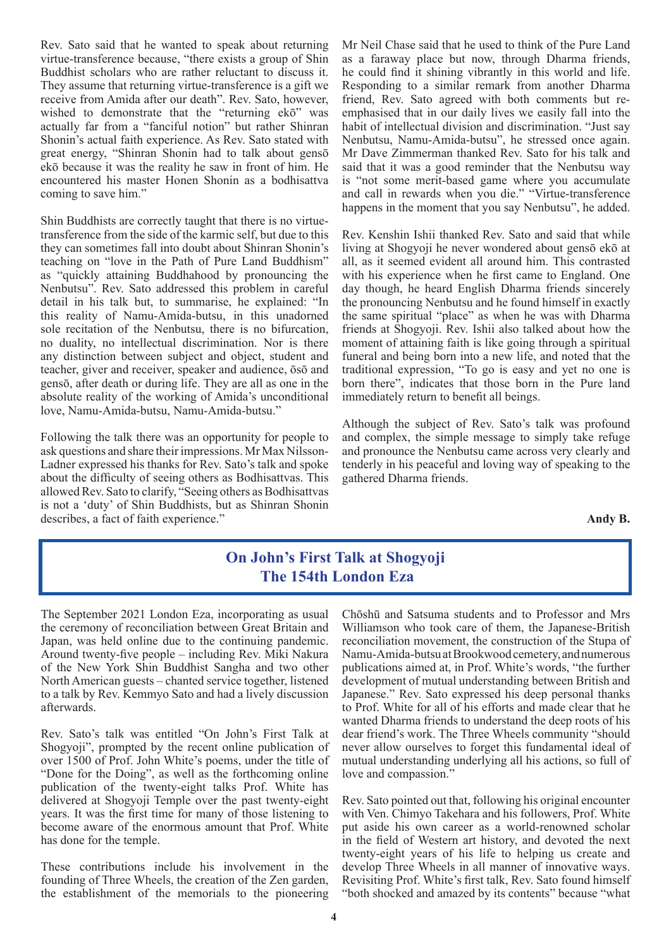Rev. Sato said that he wanted to speak about returning virtue-transference because, "there exists a group of Shin Buddhist scholars who are rather reluctant to discuss it. They assume that returning virtue-transference is a gift we receive from Amida after our death". Rev. Sato, however, wished to demonstrate that the "returning ekō" was actually far from a "fanciful notion" but rather Shinran Shonin's actual faith experience. As Rev. Sato stated with great energy, "Shinran Shonin had to talk about gensō ekō because it was the reality he saw in front of him. He encountered his master Honen Shonin as a bodhisattva coming to save him."

Shin Buddhists are correctly taught that there is no virtuetransference from the side of the karmic self, but due to this they can sometimes fall into doubt about Shinran Shonin's teaching on "love in the Path of Pure Land Buddhism" as "quickly attaining Buddhahood by pronouncing the Nenbutsu". Rev. Sato addressed this problem in careful detail in his talk but, to summarise, he explained: "In this reality of Namu-Amida-butsu, in this unadorned sole recitation of the Nenbutsu, there is no bifurcation, no duality, no intellectual discrimination. Nor is there any distinction between subject and object, student and teacher, giver and receiver, speaker and audience, ōsō and gensō, after death or during life. They are all as one in the absolute reality of the working of Amida's unconditional love, Namu-Amida-butsu, Namu-Amida-butsu."

Following the talk there was an opportunity for people to ask questions and share their impressions. Mr Max Nilsson-Ladner expressed his thanks for Rev. Sato's talk and spoke about the difficulty of seeing others as Bodhisattvas. This allowed Rev. Sato to clarify, "Seeing others as Bodhisattvas is not a 'duty' of Shin Buddhists, but as Shinran Shonin describes, a fact of faith experience."

Mr Neil Chase said that he used to think of the Pure Land as a faraway place but now, through Dharma friends, he could find it shining vibrantly in this world and life. Responding to a similar remark from another Dharma friend, Rev. Sato agreed with both comments but reemphasised that in our daily lives we easily fall into the habit of intellectual division and discrimination. "Just say Nenbutsu, Namu-Amida-butsu", he stressed once again. Mr Dave Zimmerman thanked Rev. Sato for his talk and said that it was a good reminder that the Nenbutsu way is "not some merit-based game where you accumulate and call in rewards when you die." "Virtue-transference happens in the moment that you say Nenbutsu", he added.

Rev. Kenshin Ishii thanked Rev. Sato and said that while living at Shogyoji he never wondered about gensō ekō at all, as it seemed evident all around him. This contrasted with his experience when he first came to England. One day though, he heard English Dharma friends sincerely the pronouncing Nenbutsu and he found himself in exactly the same spiritual "place" as when he was with Dharma friends at Shogyoji. Rev. Ishii also talked about how the moment of attaining faith is like going through a spiritual funeral and being born into a new life, and noted that the traditional expression, "To go is easy and yet no one is born there", indicates that those born in the Pure land immediately return to benefit all beings.

Although the subject of Rev. Sato's talk was profound and complex, the simple message to simply take refuge and pronounce the Nenbutsu came across very clearly and tenderly in his peaceful and loving way of speaking to the gathered Dharma friends.

**Andy B.**

### **On John's First Talk at Shogyoji The 154th London Eza**

The September 2021 London Eza, incorporating as usual the ceremony of reconciliation between Great Britain and Japan, was held online due to the continuing pandemic. Around twenty-five people – including Rev. Miki Nakura of the New York Shin Buddhist Sangha and two other North American guests – chanted service together, listened to a talk by Rev. Kemmyo Sato and had a lively discussion afterwards.

Rev. Sato's talk was entitled "On John's First Talk at Shogyoji", prompted by the recent online publication of over 1500 of Prof. John White's poems, under the title of "Done for the Doing", as well as the forthcoming online publication of the twenty-eight talks Prof. White has delivered at Shogyoji Temple over the past twenty-eight years. It was the first time for many of those listening to become aware of the enormous amount that Prof. White has done for the temple.

These contributions include his involvement in the founding of Three Wheels, the creation of the Zen garden, the establishment of the memorials to the pioneering Chōshū and Satsuma students and to Professor and Mrs Williamson who took care of them, the Japanese-British reconciliation movement, the construction of the Stupa of Namu-Amida-butsu at Brookwood cemetery, and numerous publications aimed at, in Prof. White's words, "the further development of mutual understanding between British and Japanese." Rev. Sato expressed his deep personal thanks to Prof. White for all of his efforts and made clear that he wanted Dharma friends to understand the deep roots of his dear friend's work. The Three Wheels community "should never allow ourselves to forget this fundamental ideal of mutual understanding underlying all his actions, so full of love and compassion."

Rev. Sato pointed out that, following his original encounter with Ven. Chimyo Takehara and his followers, Prof. White put aside his own career as a world-renowned scholar in the field of Western art history, and devoted the next twenty-eight years of his life to helping us create and develop Three Wheels in all manner of innovative ways. Revisiting Prof. White's first talk, Rev. Sato found himself "both shocked and amazed by its contents" because "what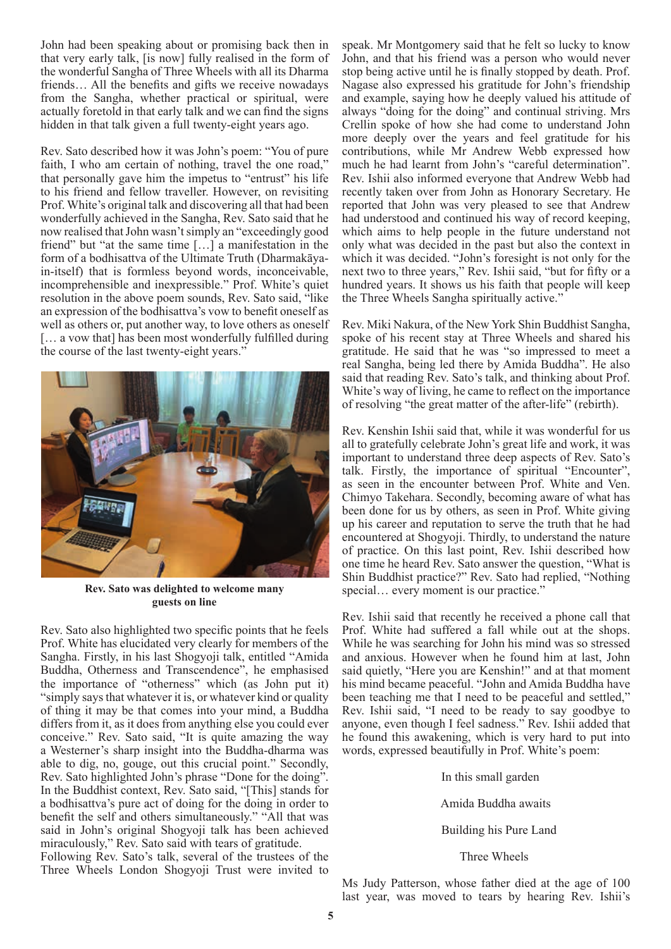John had been speaking about or promising back then in that very early talk, [is now] fully realised in the form of the wonderful Sangha of Three Wheels with all its Dharma friends… All the benefits and gifts we receive nowadays from the Sangha, whether practical or spiritual, were actually foretold in that early talk and we can find the signs hidden in that talk given a full twenty-eight years ago.

Rev. Sato described how it was John's poem: "You of pure faith, I who am certain of nothing, travel the one road," that personally gave him the impetus to "entrust" his life to his friend and fellow traveller. However, on revisiting Prof. White's original talk and discovering all that had been wonderfully achieved in the Sangha, Rev. Sato said that he now realised that John wasn't simply an "exceedingly good friend" but "at the same time […] a manifestation in the form of a bodhisattva of the Ultimate Truth (Dharmakāyain-itself) that is formless beyond words, inconceivable, incomprehensible and inexpressible." Prof. White's quiet resolution in the above poem sounds, Rev. Sato said, "like an expression of the bodhisattva's vow to benefit oneself as well as others or, put another way, to love others as oneself [… a vow that] has been most wonderfully fulfilled during the course of the last twenty-eight years."



**Rev. Sato was delighted to welcome many guests on line**

Rev. Sato also highlighted two specific points that he feels Prof. White has elucidated very clearly for members of the Sangha. Firstly, in his last Shogyoji talk, entitled "Amida Buddha, Otherness and Transcendence", he emphasised the importance of "otherness" which (as John put it) "simply says that whatever it is, or whatever kind or quality of thing it may be that comes into your mind, a Buddha differs from it, as it does from anything else you could ever conceive." Rev. Sato said, "It is quite amazing the way a Westerner's sharp insight into the Buddha-dharma was able to dig, no, gouge, out this crucial point." Secondly, Rev. Sato highlighted John's phrase "Done for the doing". In the Buddhist context, Rev. Sato said, "[This] stands for a bodhisattva's pure act of doing for the doing in order to benefit the self and others simultaneously." "All that was said in John's original Shogyoji talk has been achieved miraculously," Rev. Sato said with tears of gratitude.

Following Rev. Sato's talk, several of the trustees of the Three Wheels London Shogyoji Trust were invited to

speak. Mr Montgomery said that he felt so lucky to know John, and that his friend was a person who would never stop being active until he is finally stopped by death. Prof. Nagase also expressed his gratitude for John's friendship and example, saying how he deeply valued his attitude of always "doing for the doing" and continual striving. Mrs Crellin spoke of how she had come to understand John more deeply over the years and feel gratitude for his contributions, while Mr Andrew Webb expressed how much he had learnt from John's "careful determination". Rev. Ishii also informed everyone that Andrew Webb had recently taken over from John as Honorary Secretary. He reported that John was very pleased to see that Andrew had understood and continued his way of record keeping, which aims to help people in the future understand not only what was decided in the past but also the context in which it was decided. "John's foresight is not only for the next two to three years," Rev. Ishii said, "but for fifty or a hundred years. It shows us his faith that people will keep the Three Wheels Sangha spiritually active."

Rev. Miki Nakura, of the New York Shin Buddhist Sangha, spoke of his recent stay at Three Wheels and shared his gratitude. He said that he was "so impressed to meet a real Sangha, being led there by Amida Buddha". He also said that reading Rev. Sato's talk, and thinking about Prof. White's way of living, he came to reflect on the importance of resolving "the great matter of the after-life" (rebirth).

Rev. Kenshin Ishii said that, while it was wonderful for us all to gratefully celebrate John's great life and work, it was important to understand three deep aspects of Rev. Sato's talk. Firstly, the importance of spiritual "Encounter", as seen in the encounter between Prof. White and Ven. Chimyo Takehara. Secondly, becoming aware of what has been done for us by others, as seen in Prof. White giving up his career and reputation to serve the truth that he had encountered at Shogyoji. Thirdly, to understand the nature of practice. On this last point, Rev. Ishii described how one time he heard Rev. Sato answer the question, "What is Shin Buddhist practice?" Rev. Sato had replied, "Nothing special... every moment is our practice."

Rev. Ishii said that recently he received a phone call that Prof. White had suffered a fall while out at the shops. While he was searching for John his mind was so stressed and anxious. However when he found him at last, John said quietly, "Here you are Kenshin!" and at that moment his mind became peaceful. "John and Amida Buddha have been teaching me that I need to be peaceful and settled," Rev. Ishii said, "I need to be ready to say goodbye to anyone, even though I feel sadness." Rev. Ishii added that he found this awakening, which is very hard to put into words, expressed beautifully in Prof. White's poem:

In this small garden

Amida Buddha awaits

Building his Pure Land

Three Wheels

Ms Judy Patterson, whose father died at the age of 100 last year, was moved to tears by hearing Rev. Ishii's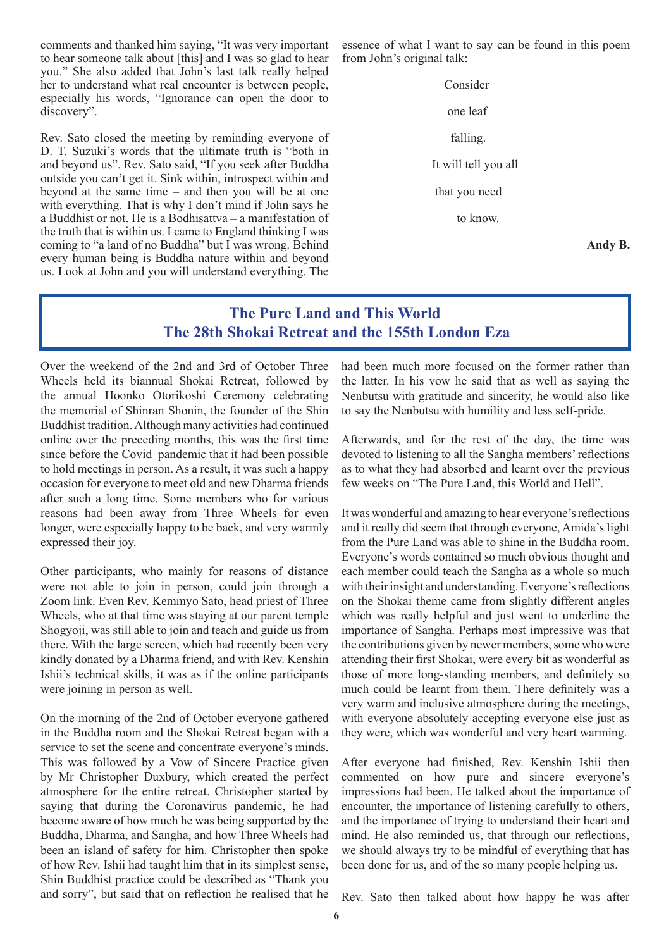comments and thanked him saying, "It was very important to hear someone talk about [this] and I was so glad to hear you." She also added that John's last talk really helped her to understand what real encounter is between people, especially his words, "Ignorance can open the door to discovery".

Rev. Sato closed the meeting by reminding everyone of D. T. Suzuki's words that the ultimate truth is "both in and beyond us". Rev. Sato said, "If you seek after Buddha outside you can't get it. Sink within, introspect within and beyond at the same time – and then you will be at one with everything. That is why I don't mind if John says he a Buddhist or not. He is a Bodhisattva – a manifestation of the truth that is within us. I came to England thinking I was coming to "a land of no Buddha" but I was wrong. Behind every human being is Buddha nature within and beyond us. Look at John and you will understand everything. The

essence of what I want to say can be found in this poem from John's original talk:

> Consider one leaf falling. It will tell you all that you need to know.

> > **Andy B.**

#### **The Pure Land and This World The 28th Shokai Retreat and the 155th London Eza**

Over the weekend of the 2nd and 3rd of October Three Wheels held its biannual Shokai Retreat, followed by the annual Hoonko Otorikoshi Ceremony celebrating the memorial of Shinran Shonin, the founder of the Shin Buddhist tradition. Although many activities had continued online over the preceding months, this was the first time since before the Covid pandemic that it had been possible to hold meetings in person. As a result, it was such a happy occasion for everyone to meet old and new Dharma friends after such a long time. Some members who for various reasons had been away from Three Wheels for even longer, were especially happy to be back, and very warmly expressed their joy.

Other participants, who mainly for reasons of distance were not able to join in person, could join through a Zoom link. Even Rev. Kemmyo Sato, head priest of Three Wheels, who at that time was staying at our parent temple Shogyoji, was still able to join and teach and guide us from there. With the large screen, which had recently been very kindly donated by a Dharma friend, and with Rev. Kenshin Ishii's technical skills, it was as if the online participants were joining in person as well.

On the morning of the 2nd of October everyone gathered in the Buddha room and the Shokai Retreat began with a service to set the scene and concentrate everyone's minds. This was followed by a Vow of Sincere Practice given by Mr Christopher Duxbury, which created the perfect atmosphere for the entire retreat. Christopher started by saying that during the Coronavirus pandemic, he had become aware of how much he was being supported by the Buddha, Dharma, and Sangha, and how Three Wheels had been an island of safety for him. Christopher then spoke of how Rev. Ishii had taught him that in its simplest sense, Shin Buddhist practice could be described as "Thank you and sorry", but said that on reflection he realised that he had been much more focused on the former rather than the latter. In his vow he said that as well as saying the Nenbutsu with gratitude and sincerity, he would also like to say the Nenbutsu with humility and less self-pride.

Afterwards, and for the rest of the day, the time was devoted to listening to all the Sangha members' reflections as to what they had absorbed and learnt over the previous few weeks on "The Pure Land, this World and Hell".

It was wonderful and amazing to hear everyone's reflections and it really did seem that through everyone, Amida's light from the Pure Land was able to shine in the Buddha room. Everyone's words contained so much obvious thought and each member could teach the Sangha as a whole so much with their insight and understanding. Everyone's reflections on the Shokai theme came from slightly different angles which was really helpful and just went to underline the importance of Sangha. Perhaps most impressive was that the contributions given by newer members, some who were attending their first Shokai, were every bit as wonderful as those of more long-standing members, and definitely so much could be learnt from them. There definitely was a very warm and inclusive atmosphere during the meetings, with everyone absolutely accepting everyone else just as they were, which was wonderful and very heart warming.

After everyone had finished, Rev. Kenshin Ishii then commented on how pure and sincere everyone's impressions had been. He talked about the importance of encounter, the importance of listening carefully to others, and the importance of trying to understand their heart and mind. He also reminded us, that through our reflections, we should always try to be mindful of everything that has been done for us, and of the so many people helping us.

Rev. Sato then talked about how happy he was after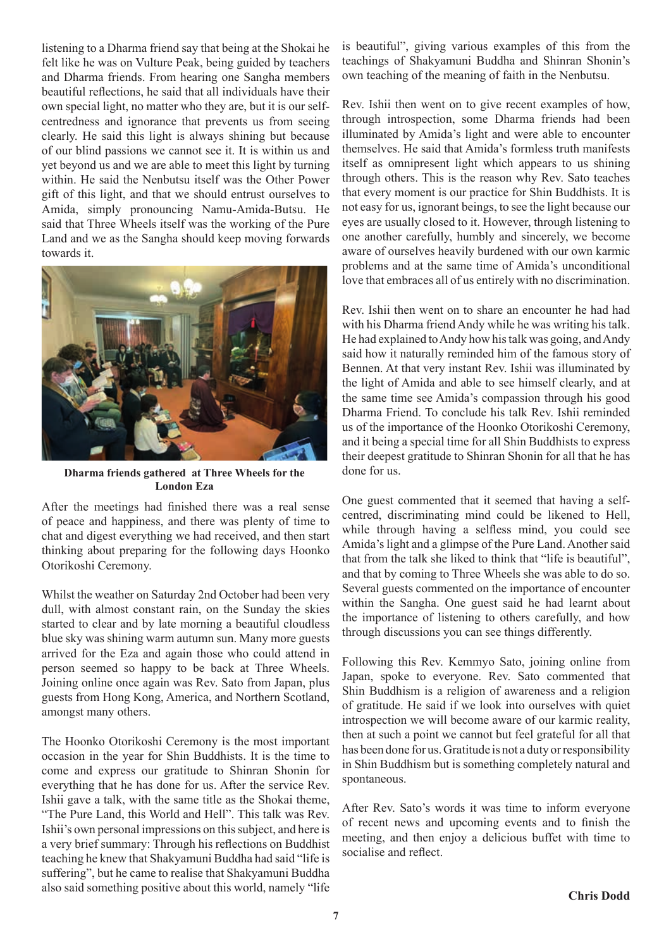listening to a Dharma friend say that being at the Shokai he felt like he was on Vulture Peak, being guided by teachers and Dharma friends. From hearing one Sangha members beautiful reflections, he said that all individuals have their own special light, no matter who they are, but it is our selfcentredness and ignorance that prevents us from seeing clearly. He said this light is always shining but because of our blind passions we cannot see it. It is within us and yet beyond us and we are able to meet this light by turning within. He said the Nenbutsu itself was the Other Power gift of this light, and that we should entrust ourselves to Amida, simply pronouncing Namu-Amida-Butsu. He said that Three Wheels itself was the working of the Pure Land and we as the Sangha should keep moving forwards towards it.



**Dharma friends gathered at Three Wheels for the London Eza**

After the meetings had finished there was a real sense of peace and happiness, and there was plenty of time to chat and digest everything we had received, and then start thinking about preparing for the following days Hoonko Otorikoshi Ceremony.

Whilst the weather on Saturday 2nd October had been very dull, with almost constant rain, on the Sunday the skies started to clear and by late morning a beautiful cloudless blue sky was shining warm autumn sun. Many more guests arrived for the Eza and again those who could attend in person seemed so happy to be back at Three Wheels. Joining online once again was Rev. Sato from Japan, plus guests from Hong Kong, America, and Northern Scotland, amongst many others.

The Hoonko Otorikoshi Ceremony is the most important occasion in the year for Shin Buddhists. It is the time to come and express our gratitude to Shinran Shonin for everything that he has done for us. After the service Rev. Ishii gave a talk, with the same title as the Shokai theme, "The Pure Land, this World and Hell". This talk was Rev. Ishii's own personal impressions on this subject, and here is a very brief summary: Through his reflections on Buddhist teaching he knew that Shakyamuni Buddha had said "life is suffering", but he came to realise that Shakyamuni Buddha also said something positive about this world, namely "life is beautiful", giving various examples of this from the teachings of Shakyamuni Buddha and Shinran Shonin's own teaching of the meaning of faith in the Nenbutsu.

Rev. Ishii then went on to give recent examples of how, through introspection, some Dharma friends had been illuminated by Amida's light and were able to encounter themselves. He said that Amida's formless truth manifests itself as omnipresent light which appears to us shining through others. This is the reason why Rev. Sato teaches that every moment is our practice for Shin Buddhists. It is not easy for us, ignorant beings, to see the light because our eyes are usually closed to it. However, through listening to one another carefully, humbly and sincerely, we become aware of ourselves heavily burdened with our own karmic problems and at the same time of Amida's unconditional love that embraces all of us entirely with no discrimination.

Rev. Ishii then went on to share an encounter he had had with his Dharma friend Andy while he was writing his talk. He had explained to Andy how his talk was going, and Andy said how it naturally reminded him of the famous story of Bennen. At that very instant Rev. Ishii was illuminated by the light of Amida and able to see himself clearly, and at the same time see Amida's compassion through his good Dharma Friend. To conclude his talk Rev. Ishii reminded us of the importance of the Hoonko Otorikoshi Ceremony, and it being a special time for all Shin Buddhists to express their deepest gratitude to Shinran Shonin for all that he has done for us.

One guest commented that it seemed that having a selfcentred, discriminating mind could be likened to Hell, while through having a selfless mind, you could see Amida's light and a glimpse of the Pure Land. Another said that from the talk she liked to think that "life is beautiful", and that by coming to Three Wheels she was able to do so. Several guests commented on the importance of encounter within the Sangha. One guest said he had learnt about the importance of listening to others carefully, and how through discussions you can see things differently.

Following this Rev. Kemmyo Sato, joining online from Japan, spoke to everyone. Rev. Sato commented that Shin Buddhism is a religion of awareness and a religion of gratitude. He said if we look into ourselves with quiet introspection we will become aware of our karmic reality, then at such a point we cannot but feel grateful for all that has been done for us. Gratitude is not a duty or responsibility in Shin Buddhism but is something completely natural and spontaneous.

After Rev. Sato's words it was time to inform everyone of recent news and upcoming events and to finish the meeting, and then enjoy a delicious buffet with time to socialise and reflect.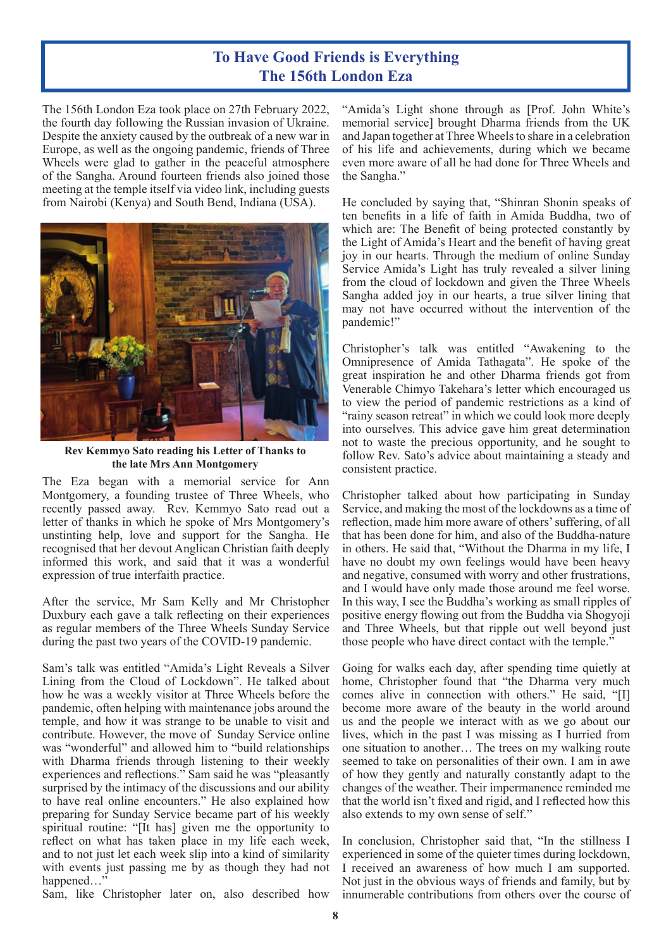#### **To Have Good Friends is Everything The 156th London Eza**

The 156th London Eza took place on 27th February 2022, the fourth day following the Russian invasion of Ukraine. Despite the anxiety caused by the outbreak of a new war in Europe, as well as the ongoing pandemic, friends of Three Wheels were glad to gather in the peaceful atmosphere of the Sangha. Around fourteen friends also joined those meeting at the temple itself via video link, including guests from Nairobi (Kenya) and South Bend, Indiana (USA).



**Rev Kemmyo Sato reading his Letter of Thanks to the late Mrs Ann Montgomery**

The Eza began with a memorial service for Ann Montgomery, a founding trustee of Three Wheels, who recently passed away. Rev. Kemmyo Sato read out a letter of thanks in which he spoke of Mrs Montgomery's unstinting help, love and support for the Sangha. He recognised that her devout Anglican Christian faith deeply informed this work, and said that it was a wonderful expression of true interfaith practice.

After the service, Mr Sam Kelly and Mr Christopher Duxbury each gave a talk reflecting on their experiences as regular members of the Three Wheels Sunday Service during the past two years of the COVID-19 pandemic.

Sam's talk was entitled "Amida's Light Reveals a Silver Lining from the Cloud of Lockdown". He talked about how he was a weekly visitor at Three Wheels before the pandemic, often helping with maintenance jobs around the temple, and how it was strange to be unable to visit and contribute. However, the move of Sunday Service online was "wonderful" and allowed him to "build relationships with Dharma friends through listening to their weekly experiences and reflections." Sam said he was "pleasantly surprised by the intimacy of the discussions and our ability to have real online encounters." He also explained how preparing for Sunday Service became part of his weekly spiritual routine: "[It has] given me the opportunity to reflect on what has taken place in my life each week, and to not just let each week slip into a kind of similarity with events just passing me by as though they had not happened...

Sam, like Christopher later on, also described how

"Amida's Light shone through as [Prof. John White's memorial service] brought Dharma friends from the UK and Japan together at Three Wheels to share in a celebration of his life and achievements, during which we became even more aware of all he had done for Three Wheels and the Sangha."

He concluded by saying that, "Shinran Shonin speaks of ten benefits in a life of faith in Amida Buddha, two of which are: The Benefit of being protected constantly by the Light of Amida's Heart and the benefit of having great joy in our hearts. Through the medium of online Sunday Service Amida's Light has truly revealed a silver lining from the cloud of lockdown and given the Three Wheels Sangha added joy in our hearts, a true silver lining that may not have occurred without the intervention of the pandemic!"

Christopher's talk was entitled "Awakening to the Omnipresence of Amida Tathagata". He spoke of the great inspiration he and other Dharma friends got from Venerable Chimyo Takehara's letter which encouraged us to view the period of pandemic restrictions as a kind of "rainy season retreat" in which we could look more deeply into ourselves. This advice gave him great determination not to waste the precious opportunity, and he sought to follow Rev. Sato's advice about maintaining a steady and consistent practice.

Christopher talked about how participating in Sunday Service, and making the most of the lockdowns as a time of reflection, made him more aware of others' suffering, of all that has been done for him, and also of the Buddha-nature in others. He said that, "Without the Dharma in my life, I have no doubt my own feelings would have been heavy and negative, consumed with worry and other frustrations, and I would have only made those around me feel worse. In this way, I see the Buddha's working as small ripples of positive energy flowing out from the Buddha via Shogyoji and Three Wheels, but that ripple out well beyond just those people who have direct contact with the temple."

Going for walks each day, after spending time quietly at home, Christopher found that "the Dharma very much comes alive in connection with others." He said, "[I] become more aware of the beauty in the world around us and the people we interact with as we go about our lives, which in the past I was missing as I hurried from one situation to another… The trees on my walking route seemed to take on personalities of their own. I am in awe of how they gently and naturally constantly adapt to the changes of the weather. Their impermanence reminded me that the world isn't fixed and rigid, and I reflected how this also extends to my own sense of self."

In conclusion, Christopher said that, "In the stillness I experienced in some of the quieter times during lockdown, I received an awareness of how much I am supported. Not just in the obvious ways of friends and family, but by innumerable contributions from others over the course of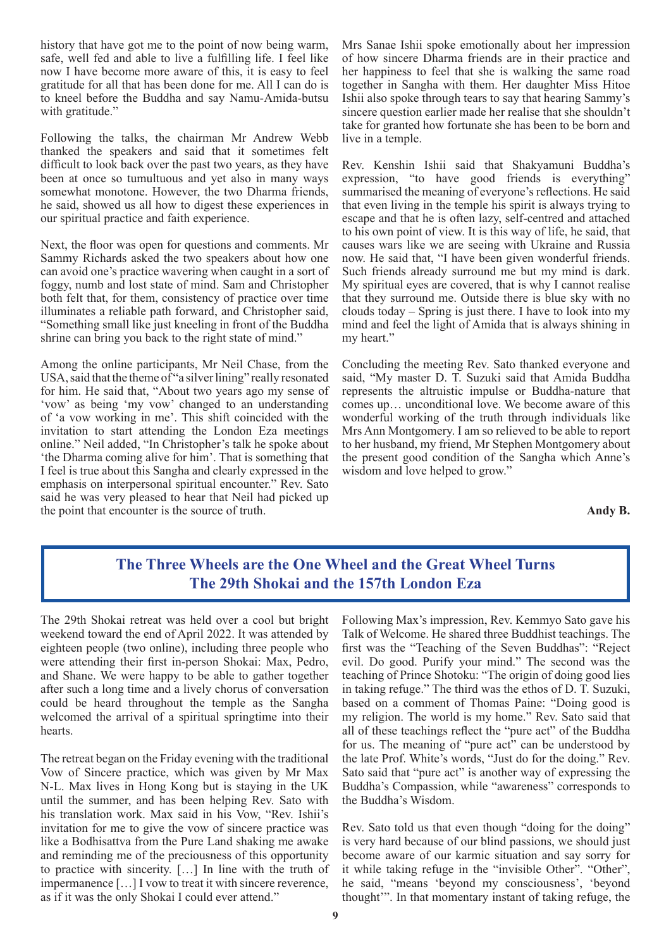history that have got me to the point of now being warm, safe, well fed and able to live a fulfilling life. I feel like now I have become more aware of this, it is easy to feel gratitude for all that has been done for me. All I can do is to kneel before the Buddha and say Namu-Amida-butsu with gratitude."

Following the talks, the chairman Mr Andrew Webb thanked the speakers and said that it sometimes felt difficult to look back over the past two years, as they have been at once so tumultuous and yet also in many ways somewhat monotone. However, the two Dharma friends, he said, showed us all how to digest these experiences in our spiritual practice and faith experience.

Next, the floor was open for questions and comments. Mr Sammy Richards asked the two speakers about how one can avoid one's practice wavering when caught in a sort of foggy, numb and lost state of mind. Sam and Christopher both felt that, for them, consistency of practice over time illuminates a reliable path forward, and Christopher said, "Something small like just kneeling in front of the Buddha shrine can bring you back to the right state of mind."

Among the online participants, Mr Neil Chase, from the USA, said that the theme of "a silver lining" really resonated for him. He said that, "About two years ago my sense of 'vow' as being 'my vow' changed to an understanding of 'a vow working in me'. This shift coincided with the invitation to start attending the London Eza meetings online." Neil added, "In Christopher's talk he spoke about 'the Dharma coming alive for him'. That is something that I feel is true about this Sangha and clearly expressed in the emphasis on interpersonal spiritual encounter." Rev. Sato said he was very pleased to hear that Neil had picked up the point that encounter is the source of truth.

Mrs Sanae Ishii spoke emotionally about her impression of how sincere Dharma friends are in their practice and her happiness to feel that she is walking the same road together in Sangha with them. Her daughter Miss Hitoe Ishii also spoke through tears to say that hearing Sammy's sincere question earlier made her realise that she shouldn't take for granted how fortunate she has been to be born and live in a temple.

Rev. Kenshin Ishii said that Shakyamuni Buddha's expression, "to have good friends is everything" summarised the meaning of everyone's reflections. He said that even living in the temple his spirit is always trying to escape and that he is often lazy, self-centred and attached to his own point of view. It is this way of life, he said, that causes wars like we are seeing with Ukraine and Russia now. He said that, "I have been given wonderful friends. Such friends already surround me but my mind is dark. My spiritual eyes are covered, that is why I cannot realise that they surround me. Outside there is blue sky with no clouds today – Spring is just there. I have to look into my mind and feel the light of Amida that is always shining in my heart."

Concluding the meeting Rev. Sato thanked everyone and said, "My master D. T. Suzuki said that Amida Buddha represents the altruistic impulse or Buddha-nature that comes up… unconditional love. We become aware of this wonderful working of the truth through individuals like Mrs Ann Montgomery. I am so relieved to be able to report to her husband, my friend, Mr Stephen Montgomery about the present good condition of the Sangha which Anne's wisdom and love helped to grow."

**Andy B.**

#### **The Three Wheels are the One Wheel and the Great Wheel Turns The 29th Shokai and the 157th London Eza**

The 29th Shokai retreat was held over a cool but bright weekend toward the end of April 2022. It was attended by eighteen people (two online), including three people who were attending their first in-person Shokai: Max, Pedro, and Shane. We were happy to be able to gather together after such a long time and a lively chorus of conversation could be heard throughout the temple as the Sangha welcomed the arrival of a spiritual springtime into their hearts.

The retreat began on the Friday evening with the traditional Vow of Sincere practice, which was given by Mr Max N-L. Max lives in Hong Kong but is staying in the UK until the summer, and has been helping Rev. Sato with his translation work. Max said in his Vow, "Rev. Ishii's invitation for me to give the vow of sincere practice was like a Bodhisattva from the Pure Land shaking me awake and reminding me of the preciousness of this opportunity to practice with sincerity. […] In line with the truth of impermanence […] I vow to treat it with sincere reverence, as if it was the only Shokai I could ever attend."

Following Max's impression, Rev. Kemmyo Sato gave his Talk of Welcome. He shared three Buddhist teachings. The first was the "Teaching of the Seven Buddhas": "Reject evil. Do good. Purify your mind." The second was the teaching of Prince Shotoku: "The origin of doing good lies in taking refuge." The third was the ethos of D. T. Suzuki, based on a comment of Thomas Paine: "Doing good is my religion. The world is my home." Rev. Sato said that all of these teachings reflect the "pure act" of the Buddha for us. The meaning of "pure act" can be understood by the late Prof. White's words, "Just do for the doing." Rev. Sato said that "pure act" is another way of expressing the Buddha's Compassion, while "awareness" corresponds to the Buddha's Wisdom.

Rev. Sato told us that even though "doing for the doing" is very hard because of our blind passions, we should just become aware of our karmic situation and say sorry for it while taking refuge in the "invisible Other". "Other", he said, "means 'beyond my consciousness', 'beyond thought'". In that momentary instant of taking refuge, the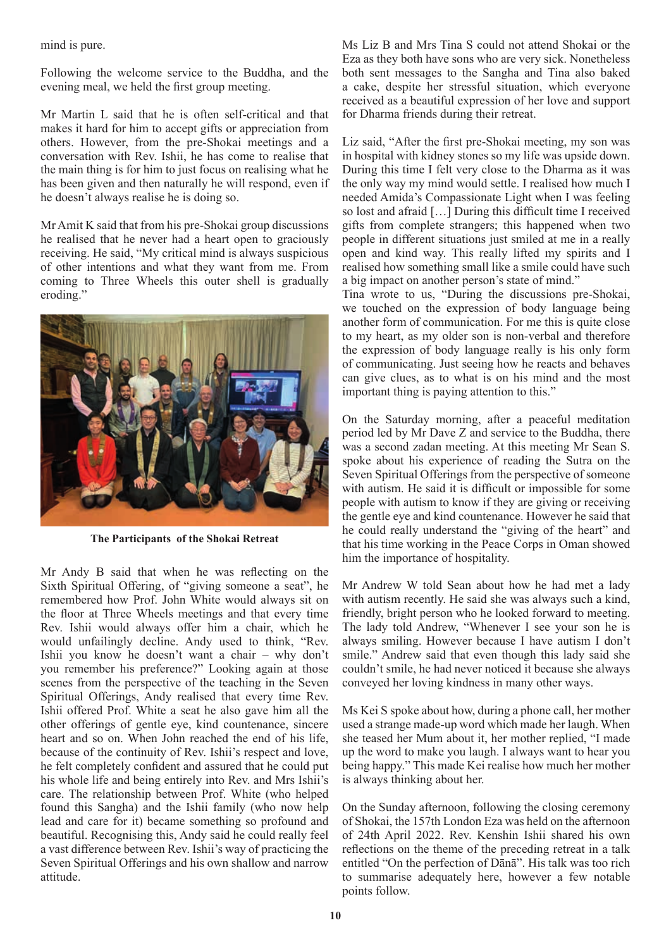mind is pure.

Following the welcome service to the Buddha, and the evening meal, we held the first group meeting.

Mr Martin L said that he is often self-critical and that makes it hard for him to accept gifts or appreciation from others. However, from the pre-Shokai meetings and a conversation with Rev. Ishii, he has come to realise that the main thing is for him to just focus on realising what he has been given and then naturally he will respond, even if he doesn't always realise he is doing so.

Mr Amit K said that from his pre-Shokai group discussions he realised that he never had a heart open to graciously receiving. He said, "My critical mind is always suspicious of other intentions and what they want from me. From coming to Three Wheels this outer shell is gradually eroding."



**The Participants of the Shokai Retreat**

Mr Andy B said that when he was reflecting on the Sixth Spiritual Offering, of "giving someone a seat", he remembered how Prof. John White would always sit on the floor at Three Wheels meetings and that every time Rev. Ishii would always offer him a chair, which he would unfailingly decline. Andy used to think, "Rev. Ishii you know he doesn't want a chair – why don't you remember his preference?" Looking again at those scenes from the perspective of the teaching in the Seven Spiritual Offerings, Andy realised that every time Rev. Ishii offered Prof. White a seat he also gave him all the other offerings of gentle eye, kind countenance, sincere heart and so on. When John reached the end of his life, because of the continuity of Rev. Ishii's respect and love, he felt completely confident and assured that he could put his whole life and being entirely into Rev. and Mrs Ishii's care. The relationship between Prof. White (who helped found this Sangha) and the Ishii family (who now help lead and care for it) became something so profound and beautiful. Recognising this, Andy said he could really feel a vast difference between Rev. Ishii's way of practicing the Seven Spiritual Offerings and his own shallow and narrow attitude.

Ms Liz B and Mrs Tina S could not attend Shokai or the Eza as they both have sons who are very sick. Nonetheless both sent messages to the Sangha and Tina also baked a cake, despite her stressful situation, which everyone received as a beautiful expression of her love and support for Dharma friends during their retreat.

Liz said, "After the first pre-Shokai meeting, my son was in hospital with kidney stones so my life was upside down. During this time I felt very close to the Dharma as it was the only way my mind would settle. I realised how much I needed Amida's Compassionate Light when I was feeling so lost and afraid […] During this difficult time I received gifts from complete strangers; this happened when two people in different situations just smiled at me in a really open and kind way. This really lifted my spirits and I realised how something small like a smile could have such a big impact on another person's state of mind."

Tina wrote to us, "During the discussions pre-Shokai, we touched on the expression of body language being another form of communication. For me this is quite close to my heart, as my older son is non-verbal and therefore the expression of body language really is his only form of communicating. Just seeing how he reacts and behaves can give clues, as to what is on his mind and the most important thing is paying attention to this."

On the Saturday morning, after a peaceful meditation period led by Mr Dave Z and service to the Buddha, there was a second zadan meeting. At this meeting Mr Sean S. spoke about his experience of reading the Sutra on the Seven Spiritual Offerings from the perspective of someone with autism. He said it is difficult or impossible for some people with autism to know if they are giving or receiving the gentle eye and kind countenance. However he said that he could really understand the "giving of the heart" and that his time working in the Peace Corps in Oman showed him the importance of hospitality.

Mr Andrew W told Sean about how he had met a lady with autism recently. He said she was always such a kind, friendly, bright person who he looked forward to meeting. The lady told Andrew, "Whenever I see your son he is always smiling. However because I have autism I don't smile." Andrew said that even though this lady said she couldn't smile, he had never noticed it because she always conveyed her loving kindness in many other ways.

Ms Kei S spoke about how, during a phone call, her mother used a strange made-up word which made her laugh. When she teased her Mum about it, her mother replied, "I made up the word to make you laugh. I always want to hear you being happy." This made Kei realise how much her mother is always thinking about her.

On the Sunday afternoon, following the closing ceremony of Shokai, the 157th London Eza was held on the afternoon of 24th April 2022. Rev. Kenshin Ishii shared his own reflections on the theme of the preceding retreat in a talk entitled "On the perfection of Dānā". His talk was too rich to summarise adequately here, however a few notable points follow.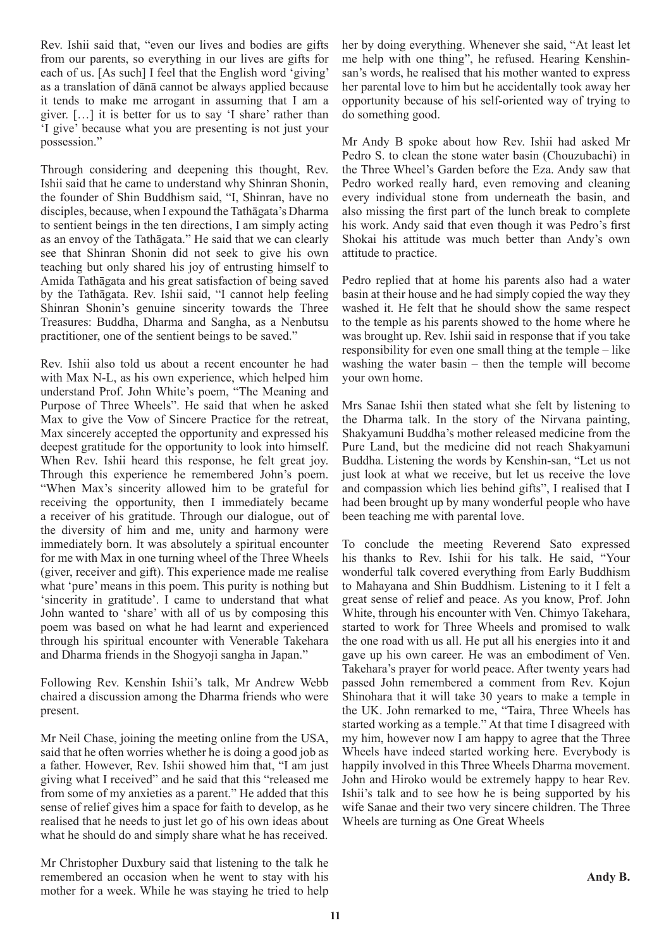Rev. Ishii said that, "even our lives and bodies are gifts from our parents, so everything in our lives are gifts for each of us. [As such] I feel that the English word 'giving' as a translation of dānā cannot be always applied because it tends to make me arrogant in assuming that I am a giver. […] it is better for us to say 'I share' rather than 'I give' because what you are presenting is not just your possession."

Through considering and deepening this thought, Rev. Ishii said that he came to understand why Shinran Shonin, the founder of Shin Buddhism said, "I, Shinran, have no disciples, because, when I expound the Tathāgata's Dharma to sentient beings in the ten directions, I am simply acting as an envoy of the Tathāgata." He said that we can clearly see that Shinran Shonin did not seek to give his own teaching but only shared his joy of entrusting himself to Amida Tathāgata and his great satisfaction of being saved by the Tathāgata. Rev. Ishii said, "I cannot help feeling Shinran Shonin's genuine sincerity towards the Three Treasures: Buddha, Dharma and Sangha, as a Nenbutsu practitioner, one of the sentient beings to be saved."

Rev. Ishii also told us about a recent encounter he had with Max N-L, as his own experience, which helped him understand Prof. John White's poem, "The Meaning and Purpose of Three Wheels". He said that when he asked Max to give the Vow of Sincere Practice for the retreat, Max sincerely accepted the opportunity and expressed his deepest gratitude for the opportunity to look into himself. When Rev. Ishii heard this response, he felt great joy. Through this experience he remembered John's poem. "When Max's sincerity allowed him to be grateful for receiving the opportunity, then I immediately became a receiver of his gratitude. Through our dialogue, out of the diversity of him and me, unity and harmony were immediately born. It was absolutely a spiritual encounter for me with Max in one turning wheel of the Three Wheels (giver, receiver and gift). This experience made me realise what 'pure' means in this poem. This purity is nothing but 'sincerity in gratitude'. I came to understand that what John wanted to 'share' with all of us by composing this poem was based on what he had learnt and experienced through his spiritual encounter with Venerable Takehara and Dharma friends in the Shogyoji sangha in Japan."

Following Rev. Kenshin Ishii's talk, Mr Andrew Webb chaired a discussion among the Dharma friends who were present.

Mr Neil Chase, joining the meeting online from the USA, said that he often worries whether he is doing a good job as a father. However, Rev. Ishii showed him that, "I am just giving what I received" and he said that this "released me from some of my anxieties as a parent." He added that this sense of relief gives him a space for faith to develop, as he realised that he needs to just let go of his own ideas about what he should do and simply share what he has received.

Mr Christopher Duxbury said that listening to the talk he remembered an occasion when he went to stay with his mother for a week. While he was staying he tried to help her by doing everything. Whenever she said, "At least let me help with one thing", he refused. Hearing Kenshinsan's words, he realised that his mother wanted to express her parental love to him but he accidentally took away her opportunity because of his self-oriented way of trying to do something good.

Mr Andy B spoke about how Rev. Ishii had asked Mr Pedro S. to clean the stone water basin (Chouzubachi) in the Three Wheel's Garden before the Eza. Andy saw that Pedro worked really hard, even removing and cleaning every individual stone from underneath the basin, and also missing the first part of the lunch break to complete his work. Andy said that even though it was Pedro's first Shokai his attitude was much better than Andy's own attitude to practice.

Pedro replied that at home his parents also had a water basin at their house and he had simply copied the way they washed it. He felt that he should show the same respect to the temple as his parents showed to the home where he was brought up. Rev. Ishii said in response that if you take responsibility for even one small thing at the temple – like washing the water basin – then the temple will become your own home.

Mrs Sanae Ishii then stated what she felt by listening to the Dharma talk. In the story of the Nirvana painting, Shakyamuni Buddha's mother released medicine from the Pure Land, but the medicine did not reach Shakyamuni Buddha. Listening the words by Kenshin-san, "Let us not just look at what we receive, but let us receive the love and compassion which lies behind gifts", I realised that I had been brought up by many wonderful people who have been teaching me with parental love.

To conclude the meeting Reverend Sato expressed his thanks to Rev. Ishii for his talk. He said, "Your wonderful talk covered everything from Early Buddhism to Mahayana and Shin Buddhism. Listening to it I felt a great sense of relief and peace. As you know, Prof. John White, through his encounter with Ven. Chimyo Takehara, started to work for Three Wheels and promised to walk the one road with us all. He put all his energies into it and gave up his own career. He was an embodiment of Ven. Takehara's prayer for world peace. After twenty years had passed John remembered a comment from Rev. Kojun Shinohara that it will take 30 years to make a temple in the UK. John remarked to me, "Taira, Three Wheels has started working as a temple." At that time I disagreed with my him, however now I am happy to agree that the Three Wheels have indeed started working here. Everybody is happily involved in this Three Wheels Dharma movement. John and Hiroko would be extremely happy to hear Rev. Ishii's talk and to see how he is being supported by his wife Sanae and their two very sincere children. The Three Wheels are turning as One Great Wheels